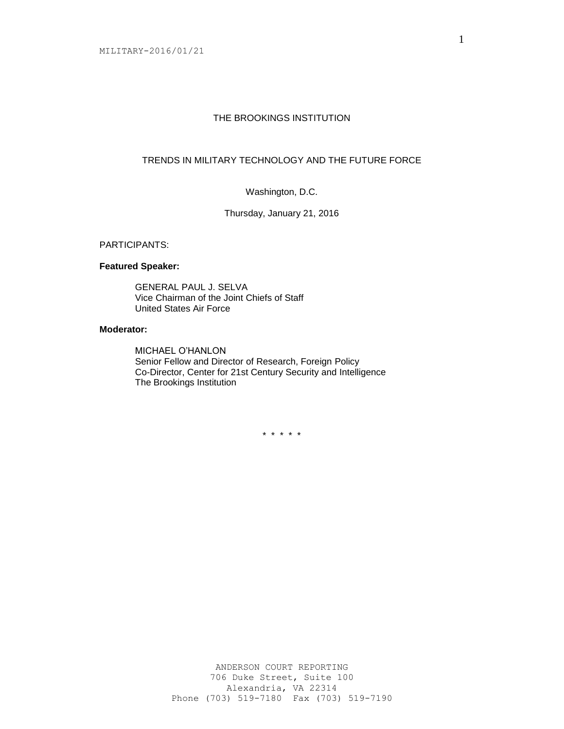## THE BROOKINGS INSTITUTION

# TRENDS IN MILITARY TECHNOLOGY AND THE FUTURE FORCE

# Washington, D.C.

Thursday, January 21, 2016

#### PARTICIPANTS:

### **Featured Speaker:**

GENERAL PAUL J. SELVA Vice Chairman of the Joint Chiefs of Staff United States Air Force

### **Moderator:**

MICHAEL O'HANLON Senior Fellow and Director of Research, Foreign Policy Co-Director, Center for 21st Century Security and Intelligence The Brookings Institution

\* \* \* \* \*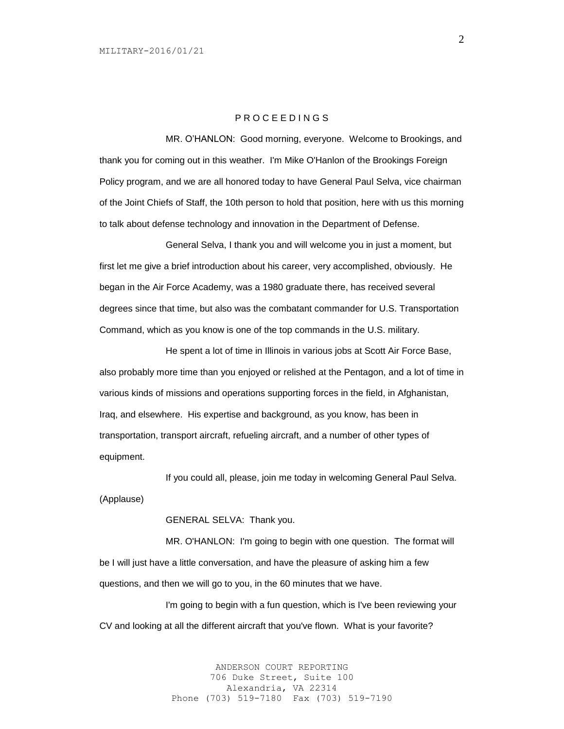### P R O C E E D I N G S

MR. O'HANLON: Good morning, everyone. Welcome to Brookings, and thank you for coming out in this weather. I'm Mike O'Hanlon of the Brookings Foreign Policy program, and we are all honored today to have General Paul Selva, vice chairman of the Joint Chiefs of Staff, the 10th person to hold that position, here with us this morning to talk about defense technology and innovation in the Department of Defense.

General Selva, I thank you and will welcome you in just a moment, but first let me give a brief introduction about his career, very accomplished, obviously. He began in the Air Force Academy, was a 1980 graduate there, has received several degrees since that time, but also was the combatant commander for U.S. Transportation Command, which as you know is one of the top commands in the U.S. military.

He spent a lot of time in Illinois in various jobs at Scott Air Force Base, also probably more time than you enjoyed or relished at the Pentagon, and a lot of time in various kinds of missions and operations supporting forces in the field, in Afghanistan, Iraq, and elsewhere. His expertise and background, as you know, has been in transportation, transport aircraft, refueling aircraft, and a number of other types of equipment.

If you could all, please, join me today in welcoming General Paul Selva. (Applause)

GENERAL SELVA: Thank you.

MR. O'HANLON: I'm going to begin with one question. The format will be I will just have a little conversation, and have the pleasure of asking him a few questions, and then we will go to you, in the 60 minutes that we have.

I'm going to begin with a fun question, which is I've been reviewing your CV and looking at all the different aircraft that you've flown. What is your favorite?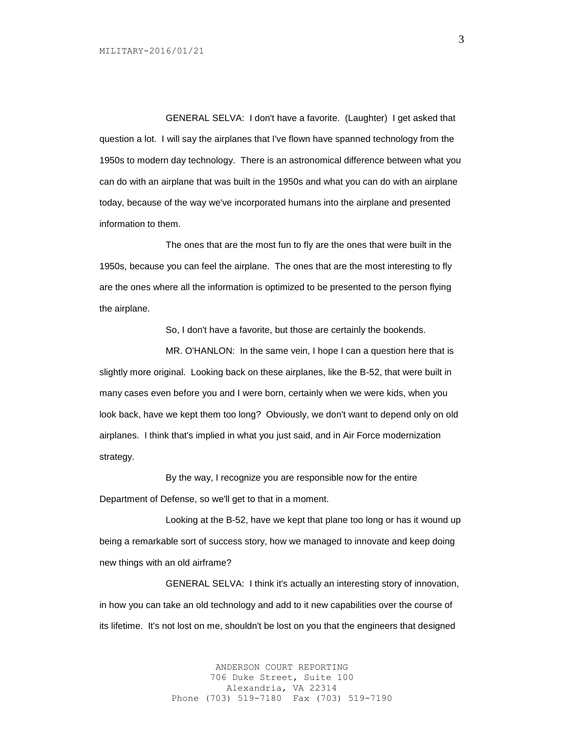GENERAL SELVA: I don't have a favorite. (Laughter) I get asked that question a lot. I will say the airplanes that I've flown have spanned technology from the 1950s to modern day technology. There is an astronomical difference between what you can do with an airplane that was built in the 1950s and what you can do with an airplane today, because of the way we've incorporated humans into the airplane and presented information to them.

The ones that are the most fun to fly are the ones that were built in the 1950s, because you can feel the airplane. The ones that are the most interesting to fly are the ones where all the information is optimized to be presented to the person flying the airplane.

So, I don't have a favorite, but those are certainly the bookends.

MR. O'HANLON: In the same vein, I hope I can a question here that is slightly more original. Looking back on these airplanes, like the B-52, that were built in many cases even before you and I were born, certainly when we were kids, when you look back, have we kept them too long? Obviously, we don't want to depend only on old airplanes. I think that's implied in what you just said, and in Air Force modernization strategy.

By the way, I recognize you are responsible now for the entire Department of Defense, so we'll get to that in a moment.

Looking at the B-52, have we kept that plane too long or has it wound up being a remarkable sort of success story, how we managed to innovate and keep doing new things with an old airframe?

GENERAL SELVA: I think it's actually an interesting story of innovation, in how you can take an old technology and add to it new capabilities over the course of its lifetime. It's not lost on me, shouldn't be lost on you that the engineers that designed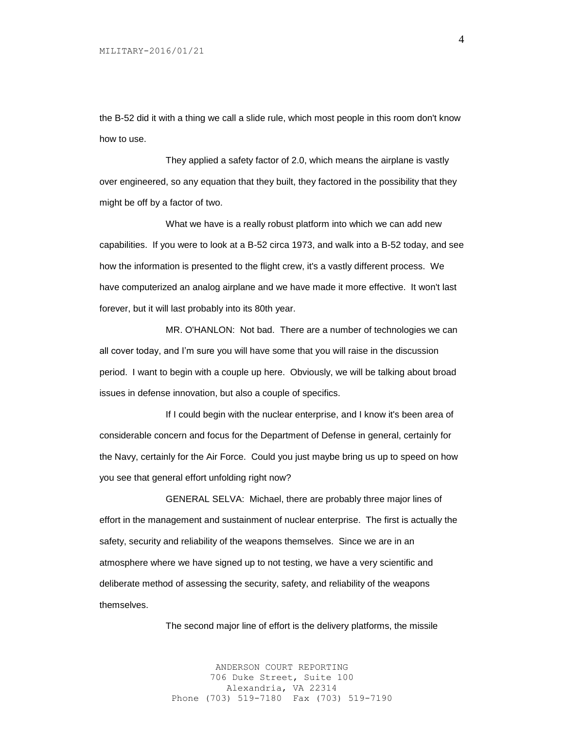the B-52 did it with a thing we call a slide rule, which most people in this room don't know how to use.

They applied a safety factor of 2.0, which means the airplane is vastly over engineered, so any equation that they built, they factored in the possibility that they might be off by a factor of two.

What we have is a really robust platform into which we can add new capabilities. If you were to look at a B-52 circa 1973, and walk into a B-52 today, and see how the information is presented to the flight crew, it's a vastly different process. We have computerized an analog airplane and we have made it more effective. It won't last forever, but it will last probably into its 80th year.

MR. O'HANLON: Not bad. There are a number of technologies we can all cover today, and I'm sure you will have some that you will raise in the discussion period. I want to begin with a couple up here. Obviously, we will be talking about broad issues in defense innovation, but also a couple of specifics.

If I could begin with the nuclear enterprise, and I know it's been area of considerable concern and focus for the Department of Defense in general, certainly for the Navy, certainly for the Air Force. Could you just maybe bring us up to speed on how you see that general effort unfolding right now?

GENERAL SELVA: Michael, there are probably three major lines of effort in the management and sustainment of nuclear enterprise. The first is actually the safety, security and reliability of the weapons themselves. Since we are in an atmosphere where we have signed up to not testing, we have a very scientific and deliberate method of assessing the security, safety, and reliability of the weapons themselves.

The second major line of effort is the delivery platforms, the missile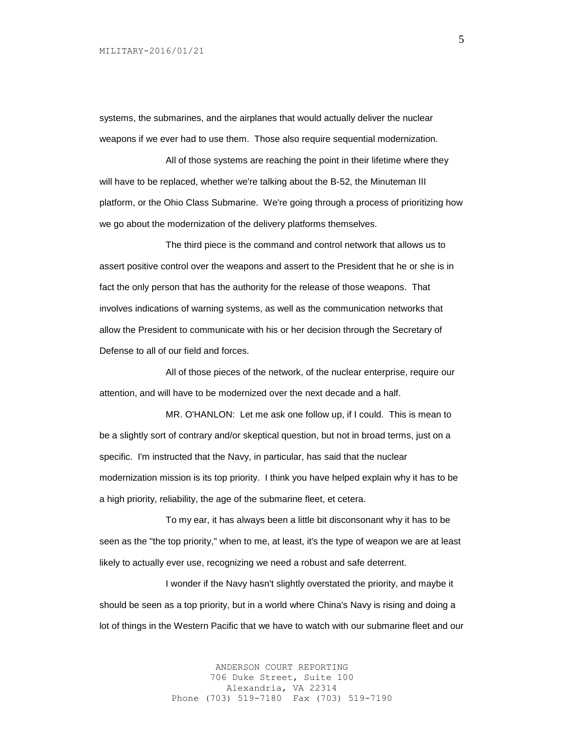systems, the submarines, and the airplanes that would actually deliver the nuclear weapons if we ever had to use them. Those also require sequential modernization.

All of those systems are reaching the point in their lifetime where they will have to be replaced, whether we're talking about the B-52, the Minuteman III platform, or the Ohio Class Submarine. We're going through a process of prioritizing how we go about the modernization of the delivery platforms themselves.

The third piece is the command and control network that allows us to assert positive control over the weapons and assert to the President that he or she is in fact the only person that has the authority for the release of those weapons. That involves indications of warning systems, as well as the communication networks that allow the President to communicate with his or her decision through the Secretary of Defense to all of our field and forces.

All of those pieces of the network, of the nuclear enterprise, require our attention, and will have to be modernized over the next decade and a half.

MR. O'HANLON: Let me ask one follow up, if I could. This is mean to be a slightly sort of contrary and/or skeptical question, but not in broad terms, just on a specific. I'm instructed that the Navy, in particular, has said that the nuclear modernization mission is its top priority. I think you have helped explain why it has to be a high priority, reliability, the age of the submarine fleet, et cetera.

To my ear, it has always been a little bit disconsonant why it has to be seen as the "the top priority," when to me, at least, it's the type of weapon we are at least likely to actually ever use, recognizing we need a robust and safe deterrent.

I wonder if the Navy hasn't slightly overstated the priority, and maybe it should be seen as a top priority, but in a world where China's Navy is rising and doing a lot of things in the Western Pacific that we have to watch with our submarine fleet and our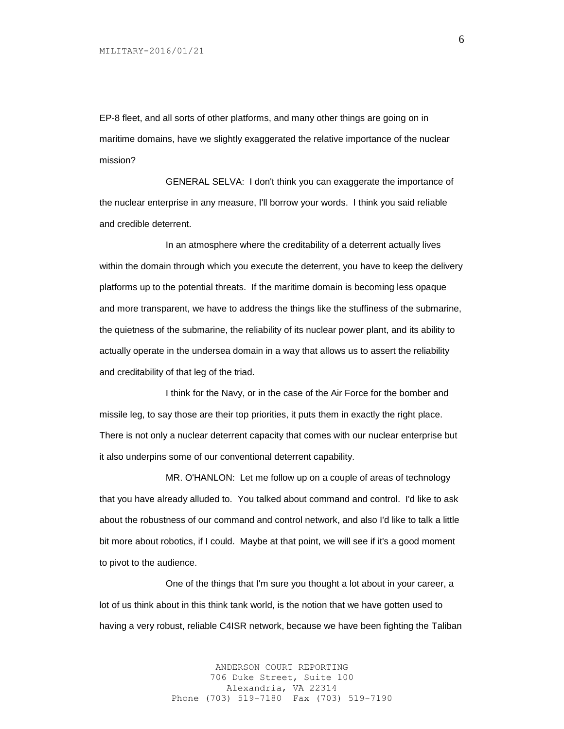EP-8 fleet, and all sorts of other platforms, and many other things are going on in maritime domains, have we slightly exaggerated the relative importance of the nuclear mission?

GENERAL SELVA: I don't think you can exaggerate the importance of the nuclear enterprise in any measure, I'll borrow your words. I think you said reliable and credible deterrent.

In an atmosphere where the creditability of a deterrent actually lives within the domain through which you execute the deterrent, you have to keep the delivery platforms up to the potential threats. If the maritime domain is becoming less opaque and more transparent, we have to address the things like the stuffiness of the submarine, the quietness of the submarine, the reliability of its nuclear power plant, and its ability to actually operate in the undersea domain in a way that allows us to assert the reliability and creditability of that leg of the triad.

I think for the Navy, or in the case of the Air Force for the bomber and missile leg, to say those are their top priorities, it puts them in exactly the right place. There is not only a nuclear deterrent capacity that comes with our nuclear enterprise but it also underpins some of our conventional deterrent capability.

MR. O'HANLON: Let me follow up on a couple of areas of technology that you have already alluded to. You talked about command and control. I'd like to ask about the robustness of our command and control network, and also I'd like to talk a little bit more about robotics, if I could. Maybe at that point, we will see if it's a good moment to pivot to the audience.

One of the things that I'm sure you thought a lot about in your career, a lot of us think about in this think tank world, is the notion that we have gotten used to having a very robust, reliable C4ISR network, because we have been fighting the Taliban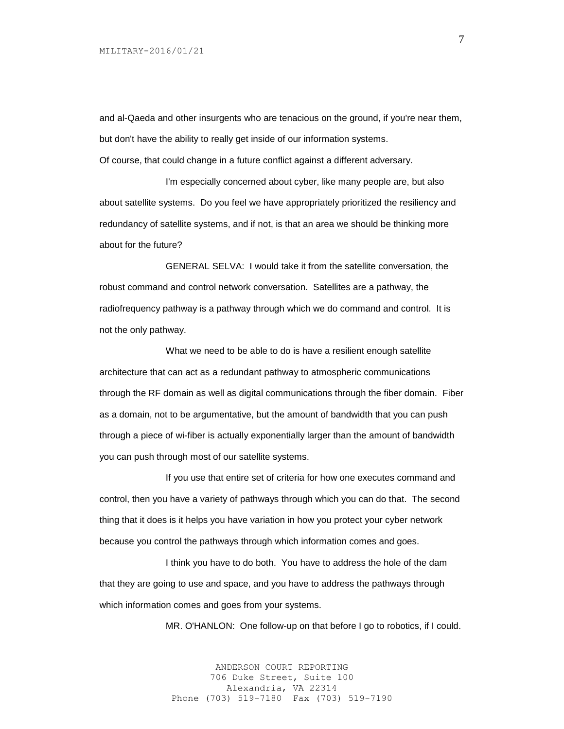and al-Qaeda and other insurgents who are tenacious on the ground, if you're near them, but don't have the ability to really get inside of our information systems.

Of course, that could change in a future conflict against a different adversary.

I'm especially concerned about cyber, like many people are, but also about satellite systems. Do you feel we have appropriately prioritized the resiliency and redundancy of satellite systems, and if not, is that an area we should be thinking more about for the future?

GENERAL SELVA: I would take it from the satellite conversation, the robust command and control network conversation. Satellites are a pathway, the radiofrequency pathway is a pathway through which we do command and control. It is not the only pathway.

What we need to be able to do is have a resilient enough satellite architecture that can act as a redundant pathway to atmospheric communications through the RF domain as well as digital communications through the fiber domain. Fiber as a domain, not to be argumentative, but the amount of bandwidth that you can push through a piece of wi-fiber is actually exponentially larger than the amount of bandwidth you can push through most of our satellite systems.

If you use that entire set of criteria for how one executes command and control, then you have a variety of pathways through which you can do that. The second thing that it does is it helps you have variation in how you protect your cyber network because you control the pathways through which information comes and goes.

I think you have to do both. You have to address the hole of the dam that they are going to use and space, and you have to address the pathways through which information comes and goes from your systems.

MR. O'HANLON: One follow-up on that before I go to robotics, if I could.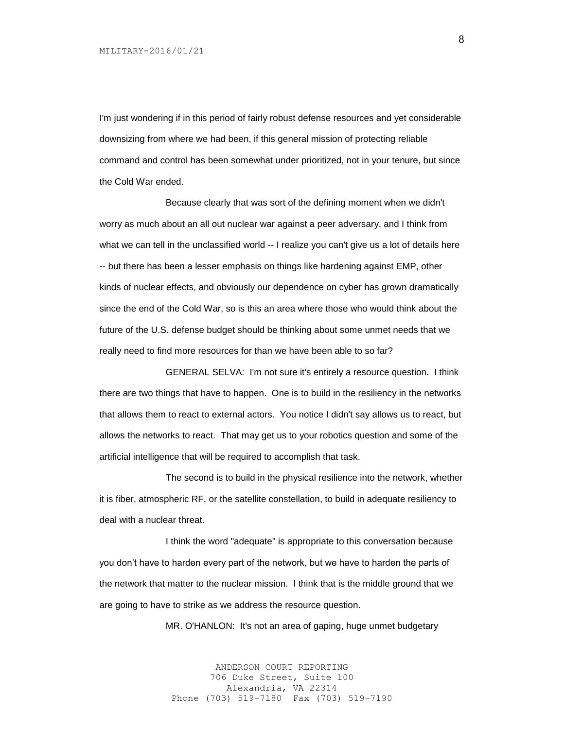I'm just wondering if in this period of fairly robust defense resources and yet considerable downsizing from where we had been, if this general mission of protecting reliable command and control has been somewhat under prioritized, not in your tenure, but since the Cold War ended.

Because clearly that was sort of the defining moment when we didn't worry as much about an all out nuclear war against a peer adversary, and I think from what we can tell in the unclassified world -- I realize you can't give us a lot of details here -- but there has been a lesser emphasis on things like hardening against EMP, other kinds of nuclear effects, and obviously our dependence on cyber has grown dramatically since the end of the Cold War, so is this an area where those who would think about the future of the U.S. defense budget should be thinking about some unmet needs that we really need to find more resources for than we have been able to so far?

GENERAL SELVA: I'm not sure it's entirely a resource question. I think there are two things that have to happen. One is to build in the resiliency in the networks that allows them to react to external actors. You notice I didn't say allows us to react, but allows the networks to react. That may get us to your robotics question and some of the artificial intelligence that will be required to accomplish that task.

The second is to build in the physical resilience into the network, whether it is fiber, atmospheric RF, or the satellite constellation, to build in adequate resiliency to deal with a nuclear threat.

I think the word "adequate" is appropriate to this conversation because you don't have to harden every part of the network, but we have to harden the parts of the network that matter to the nuclear mission. I think that is the middle ground that we are going to have to strike as we address the resource question.

MR. O'HANLON: It's not an area of gaping, huge unmet budgetary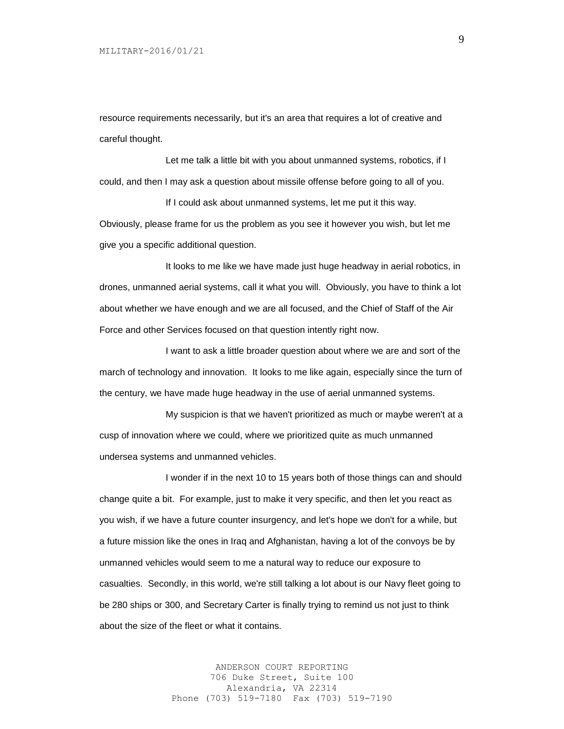resource requirements necessarily, but it's an area that requires a lot of creative and careful thought.

Let me talk a little bit with you about unmanned systems, robotics, if I could, and then I may ask a question about missile offense before going to all of you.

If I could ask about unmanned systems, let me put it this way. Obviously, please frame for us the problem as you see it however you wish, but let me give you a specific additional question.

It looks to me like we have made just huge headway in aerial robotics, in drones, unmanned aerial systems, call it what you will. Obviously, you have to think a lot about whether we have enough and we are all focused, and the Chief of Staff of the Air Force and other Services focused on that question intently right now.

I want to ask a little broader question about where we are and sort of the march of technology and innovation. It looks to me like again, especially since the turn of the century, we have made huge headway in the use of aerial unmanned systems.

My suspicion is that we haven't prioritized as much or maybe weren't at a cusp of innovation where we could, where we prioritized quite as much unmanned undersea systems and unmanned vehicles.

I wonder if in the next 10 to 15 years both of those things can and should change quite a bit. For example, just to make it very specific, and then let you react as you wish, if we have a future counter insurgency, and let's hope we don't for a while, but a future mission like the ones in Iraq and Afghanistan, having a lot of the convoys be by unmanned vehicles would seem to me a natural way to reduce our exposure to casualties. Secondly, in this world, we're still talking a lot about is our Navy fleet going to be 280 ships or 300, and Secretary Carter is finally trying to remind us not just to think about the size of the fleet or what it contains.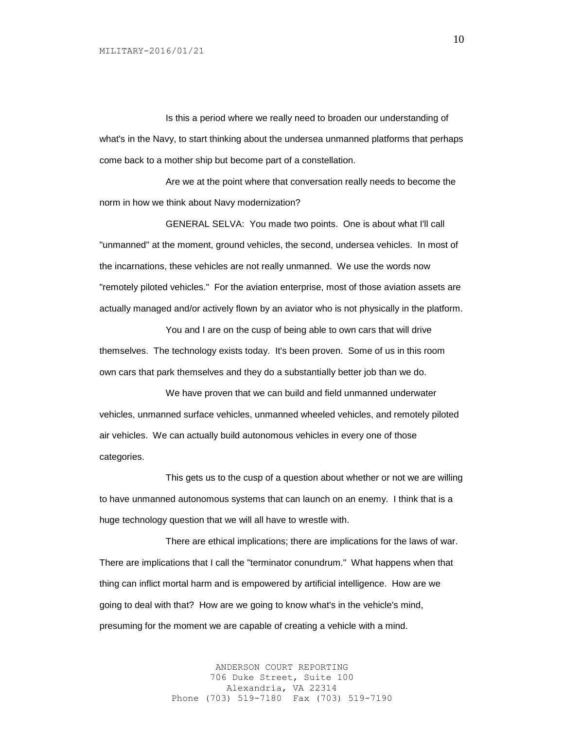Is this a period where we really need to broaden our understanding of what's in the Navy, to start thinking about the undersea unmanned platforms that perhaps come back to a mother ship but become part of a constellation.

Are we at the point where that conversation really needs to become the norm in how we think about Navy modernization?

GENERAL SELVA: You made two points. One is about what I'll call "unmanned" at the moment, ground vehicles, the second, undersea vehicles. In most of the incarnations, these vehicles are not really unmanned. We use the words now "remotely piloted vehicles." For the aviation enterprise, most of those aviation assets are actually managed and/or actively flown by an aviator who is not physically in the platform.

You and I are on the cusp of being able to own cars that will drive themselves. The technology exists today. It's been proven. Some of us in this room own cars that park themselves and they do a substantially better job than we do.

We have proven that we can build and field unmanned underwater vehicles, unmanned surface vehicles, unmanned wheeled vehicles, and remotely piloted air vehicles. We can actually build autonomous vehicles in every one of those categories.

This gets us to the cusp of a question about whether or not we are willing to have unmanned autonomous systems that can launch on an enemy. I think that is a huge technology question that we will all have to wrestle with.

There are ethical implications; there are implications for the laws of war. There are implications that I call the "terminator conundrum." What happens when that thing can inflict mortal harm and is empowered by artificial intelligence. How are we going to deal with that? How are we going to know what's in the vehicle's mind, presuming for the moment we are capable of creating a vehicle with a mind.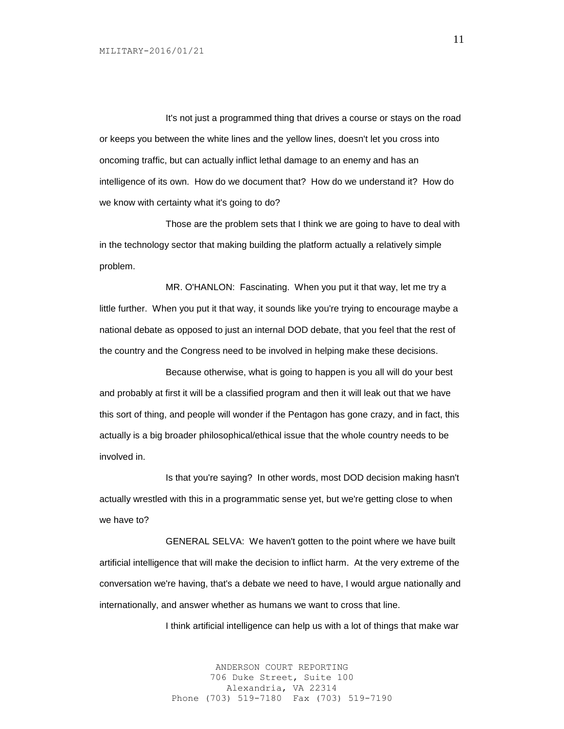It's not just a programmed thing that drives a course or stays on the road or keeps you between the white lines and the yellow lines, doesn't let you cross into oncoming traffic, but can actually inflict lethal damage to an enemy and has an intelligence of its own. How do we document that? How do we understand it? How do we know with certainty what it's going to do?

Those are the problem sets that I think we are going to have to deal with in the technology sector that making building the platform actually a relatively simple problem.

MR. O'HANLON: Fascinating. When you put it that way, let me try a little further. When you put it that way, it sounds like you're trying to encourage maybe a national debate as opposed to just an internal DOD debate, that you feel that the rest of the country and the Congress need to be involved in helping make these decisions.

Because otherwise, what is going to happen is you all will do your best and probably at first it will be a classified program and then it will leak out that we have this sort of thing, and people will wonder if the Pentagon has gone crazy, and in fact, this actually is a big broader philosophical/ethical issue that the whole country needs to be involved in.

Is that you're saying? In other words, most DOD decision making hasn't actually wrestled with this in a programmatic sense yet, but we're getting close to when we have to?

GENERAL SELVA: We haven't gotten to the point where we have built artificial intelligence that will make the decision to inflict harm. At the very extreme of the conversation we're having, that's a debate we need to have, I would argue nationally and internationally, and answer whether as humans we want to cross that line.

I think artificial intelligence can help us with a lot of things that make war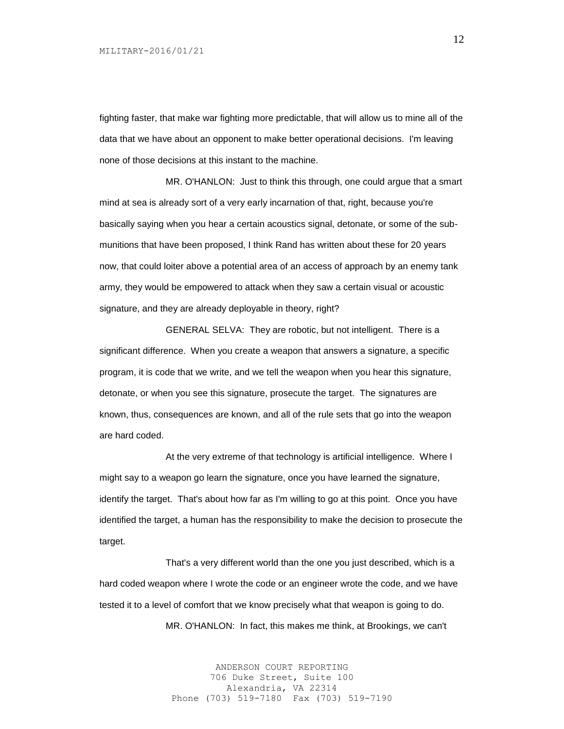fighting faster, that make war fighting more predictable, that will allow us to mine all of the data that we have about an opponent to make better operational decisions. I'm leaving none of those decisions at this instant to the machine.

MR. O'HANLON: Just to think this through, one could argue that a smart mind at sea is already sort of a very early incarnation of that, right, because you're basically saying when you hear a certain acoustics signal, detonate, or some of the submunitions that have been proposed, I think Rand has written about these for 20 years now, that could loiter above a potential area of an access of approach by an enemy tank army, they would be empowered to attack when they saw a certain visual or acoustic signature, and they are already deployable in theory, right?

GENERAL SELVA: They are robotic, but not intelligent. There is a significant difference. When you create a weapon that answers a signature, a specific program, it is code that we write, and we tell the weapon when you hear this signature, detonate, or when you see this signature, prosecute the target. The signatures are known, thus, consequences are known, and all of the rule sets that go into the weapon are hard coded.

At the very extreme of that technology is artificial intelligence. Where I might say to a weapon go learn the signature, once you have learned the signature, identify the target. That's about how far as I'm willing to go at this point. Once you have identified the target, a human has the responsibility to make the decision to prosecute the target.

That's a very different world than the one you just described, which is a hard coded weapon where I wrote the code or an engineer wrote the code, and we have tested it to a level of comfort that we know precisely what that weapon is going to do. MR. O'HANLON: In fact, this makes me think, at Brookings, we can't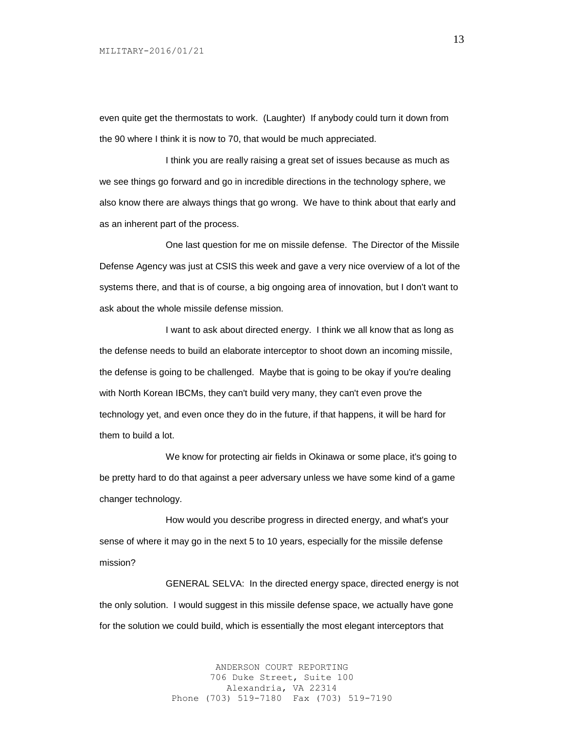even quite get the thermostats to work. (Laughter) If anybody could turn it down from the 90 where I think it is now to 70, that would be much appreciated.

I think you are really raising a great set of issues because as much as we see things go forward and go in incredible directions in the technology sphere, we also know there are always things that go wrong. We have to think about that early and as an inherent part of the process.

One last question for me on missile defense. The Director of the Missile Defense Agency was just at CSIS this week and gave a very nice overview of a lot of the systems there, and that is of course, a big ongoing area of innovation, but I don't want to ask about the whole missile defense mission.

I want to ask about directed energy. I think we all know that as long as the defense needs to build an elaborate interceptor to shoot down an incoming missile, the defense is going to be challenged. Maybe that is going to be okay if you're dealing with North Korean IBCMs, they can't build very many, they can't even prove the technology yet, and even once they do in the future, if that happens, it will be hard for them to build a lot.

We know for protecting air fields in Okinawa or some place, it's going to be pretty hard to do that against a peer adversary unless we have some kind of a game changer technology.

How would you describe progress in directed energy, and what's your sense of where it may go in the next 5 to 10 years, especially for the missile defense mission?

GENERAL SELVA: In the directed energy space, directed energy is not the only solution. I would suggest in this missile defense space, we actually have gone for the solution we could build, which is essentially the most elegant interceptors that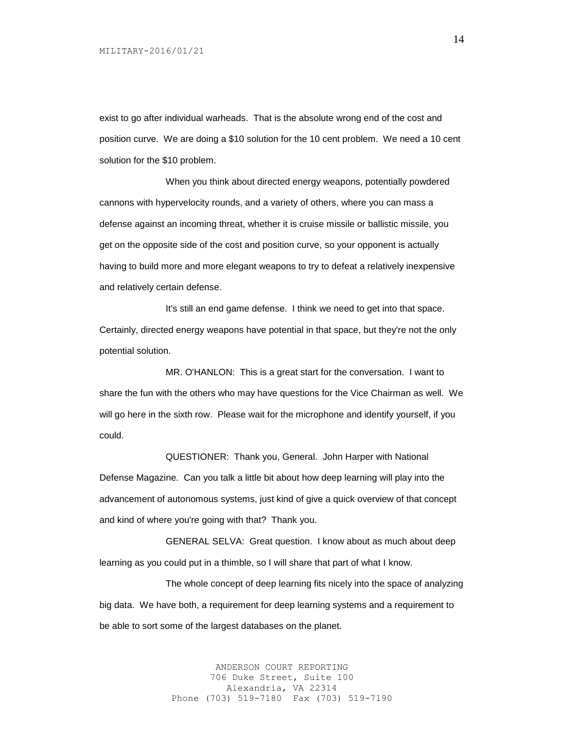exist to go after individual warheads. That is the absolute wrong end of the cost and position curve. We are doing a \$10 solution for the 10 cent problem. We need a 10 cent solution for the \$10 problem.

When you think about directed energy weapons, potentially powdered cannons with hypervelocity rounds, and a variety of others, where you can mass a defense against an incoming threat, whether it is cruise missile or ballistic missile, you get on the opposite side of the cost and position curve, so your opponent is actually having to build more and more elegant weapons to try to defeat a relatively inexpensive and relatively certain defense.

It's still an end game defense. I think we need to get into that space. Certainly, directed energy weapons have potential in that space, but they're not the only potential solution.

MR. O'HANLON: This is a great start for the conversation. I want to share the fun with the others who may have questions for the Vice Chairman as well. We will go here in the sixth row. Please wait for the microphone and identify yourself, if you could.

QUESTIONER: Thank you, General. John Harper with National Defense Magazine. Can you talk a little bit about how deep learning will play into the advancement of autonomous systems, just kind of give a quick overview of that concept and kind of where you're going with that? Thank you.

GENERAL SELVA: Great question. I know about as much about deep learning as you could put in a thimble, so I will share that part of what I know.

The whole concept of deep learning fits nicely into the space of analyzing big data. We have both, a requirement for deep learning systems and a requirement to be able to sort some of the largest databases on the planet.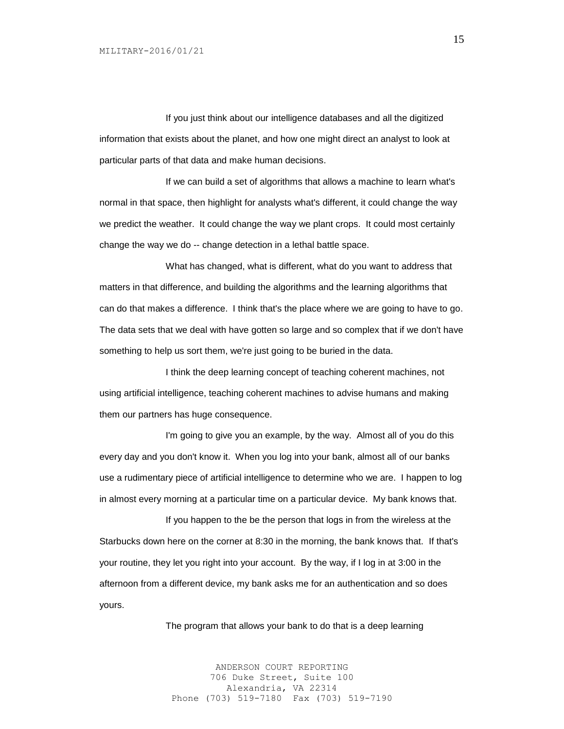If you just think about our intelligence databases and all the digitized information that exists about the planet, and how one might direct an analyst to look at particular parts of that data and make human decisions.

If we can build a set of algorithms that allows a machine to learn what's normal in that space, then highlight for analysts what's different, it could change the way we predict the weather. It could change the way we plant crops. It could most certainly change the way we do -- change detection in a lethal battle space.

What has changed, what is different, what do you want to address that matters in that difference, and building the algorithms and the learning algorithms that can do that makes a difference. I think that's the place where we are going to have to go. The data sets that we deal with have gotten so large and so complex that if we don't have something to help us sort them, we're just going to be buried in the data.

I think the deep learning concept of teaching coherent machines, not using artificial intelligence, teaching coherent machines to advise humans and making them our partners has huge consequence.

I'm going to give you an example, by the way. Almost all of you do this every day and you don't know it. When you log into your bank, almost all of our banks use a rudimentary piece of artificial intelligence to determine who we are. I happen to log in almost every morning at a particular time on a particular device. My bank knows that.

If you happen to the be the person that logs in from the wireless at the Starbucks down here on the corner at 8:30 in the morning, the bank knows that. If that's your routine, they let you right into your account. By the way, if I log in at 3:00 in the afternoon from a different device, my bank asks me for an authentication and so does yours.

The program that allows your bank to do that is a deep learning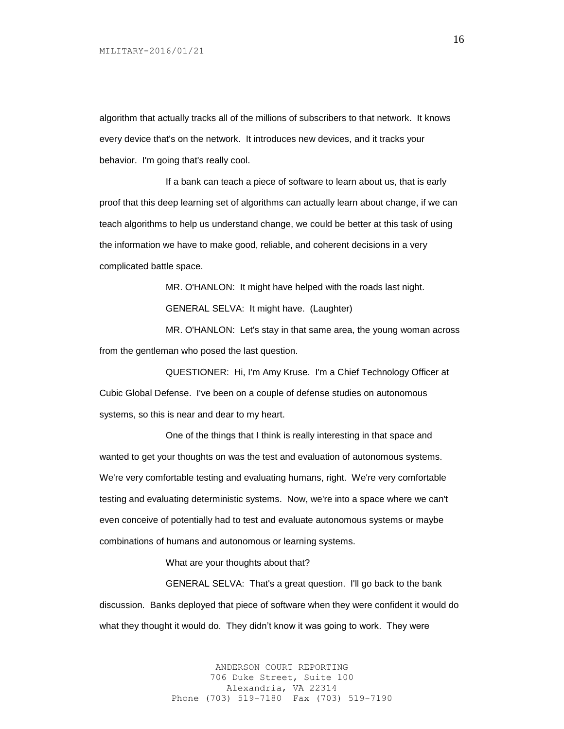algorithm that actually tracks all of the millions of subscribers to that network. It knows every device that's on the network. It introduces new devices, and it tracks your behavior. I'm going that's really cool.

If a bank can teach a piece of software to learn about us, that is early proof that this deep learning set of algorithms can actually learn about change, if we can teach algorithms to help us understand change, we could be better at this task of using the information we have to make good, reliable, and coherent decisions in a very complicated battle space.

> MR. O'HANLON: It might have helped with the roads last night. GENERAL SELVA: It might have. (Laughter)

MR. O'HANLON: Let's stay in that same area, the young woman across from the gentleman who posed the last question.

QUESTIONER: Hi, I'm Amy Kruse. I'm a Chief Technology Officer at Cubic Global Defense. I've been on a couple of defense studies on autonomous systems, so this is near and dear to my heart.

One of the things that I think is really interesting in that space and wanted to get your thoughts on was the test and evaluation of autonomous systems. We're very comfortable testing and evaluating humans, right. We're very comfortable testing and evaluating deterministic systems. Now, we're into a space where we can't even conceive of potentially had to test and evaluate autonomous systems or maybe combinations of humans and autonomous or learning systems.

What are your thoughts about that?

GENERAL SELVA: That's a great question. I'll go back to the bank discussion. Banks deployed that piece of software when they were confident it would do what they thought it would do. They didn't know it was going to work. They were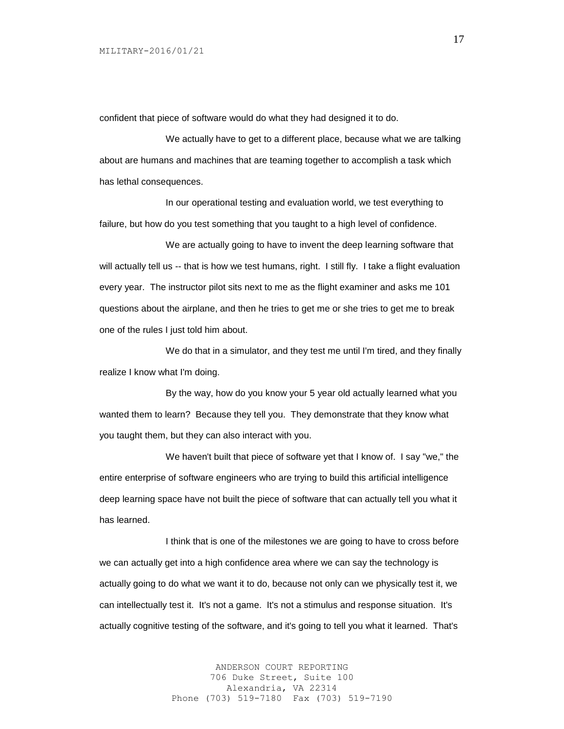confident that piece of software would do what they had designed it to do.

We actually have to get to a different place, because what we are talking about are humans and machines that are teaming together to accomplish a task which has lethal consequences.

In our operational testing and evaluation world, we test everything to failure, but how do you test something that you taught to a high level of confidence.

We are actually going to have to invent the deep learning software that will actually tell us -- that is how we test humans, right. I still fly. I take a flight evaluation every year. The instructor pilot sits next to me as the flight examiner and asks me 101 questions about the airplane, and then he tries to get me or she tries to get me to break one of the rules I just told him about.

We do that in a simulator, and they test me until I'm tired, and they finally realize I know what I'm doing.

By the way, how do you know your 5 year old actually learned what you wanted them to learn? Because they tell you. They demonstrate that they know what you taught them, but they can also interact with you.

We haven't built that piece of software yet that I know of. I say "we," the entire enterprise of software engineers who are trying to build this artificial intelligence deep learning space have not built the piece of software that can actually tell you what it has learned.

I think that is one of the milestones we are going to have to cross before we can actually get into a high confidence area where we can say the technology is actually going to do what we want it to do, because not only can we physically test it, we can intellectually test it. It's not a game. It's not a stimulus and response situation. It's actually cognitive testing of the software, and it's going to tell you what it learned. That's

> ANDERSON COURT REPORTING 706 Duke Street, Suite 100 Alexandria, VA 22314 Phone (703) 519-7180 Fax (703) 519-7190

17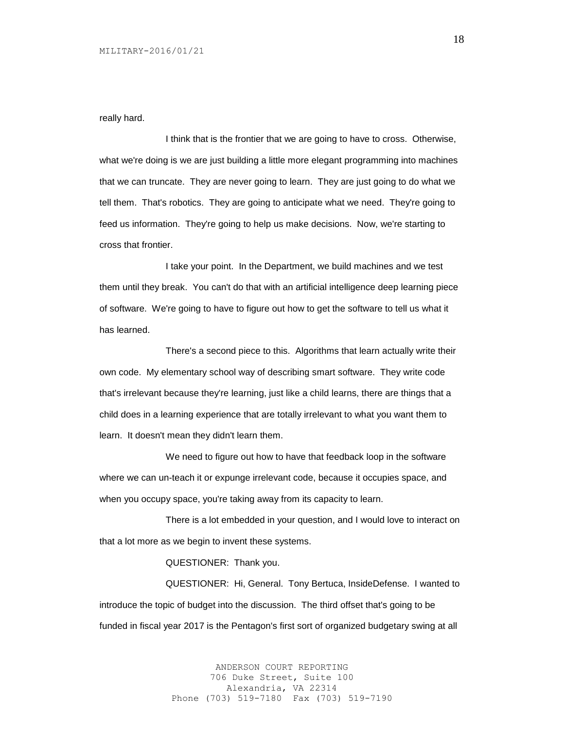really hard.

I think that is the frontier that we are going to have to cross. Otherwise, what we're doing is we are just building a little more elegant programming into machines that we can truncate. They are never going to learn. They are just going to do what we tell them. That's robotics. They are going to anticipate what we need. They're going to feed us information. They're going to help us make decisions. Now, we're starting to cross that frontier.

I take your point. In the Department, we build machines and we test them until they break. You can't do that with an artificial intelligence deep learning piece of software. We're going to have to figure out how to get the software to tell us what it has learned.

There's a second piece to this. Algorithms that learn actually write their own code. My elementary school way of describing smart software. They write code that's irrelevant because they're learning, just like a child learns, there are things that a child does in a learning experience that are totally irrelevant to what you want them to learn. It doesn't mean they didn't learn them.

We need to figure out how to have that feedback loop in the software where we can un-teach it or expunge irrelevant code, because it occupies space, and when you occupy space, you're taking away from its capacity to learn.

There is a lot embedded in your question, and I would love to interact on that a lot more as we begin to invent these systems.

QUESTIONER: Thank you.

QUESTIONER: Hi, General. Tony Bertuca, InsideDefense. I wanted to introduce the topic of budget into the discussion. The third offset that's going to be funded in fiscal year 2017 is the Pentagon's first sort of organized budgetary swing at all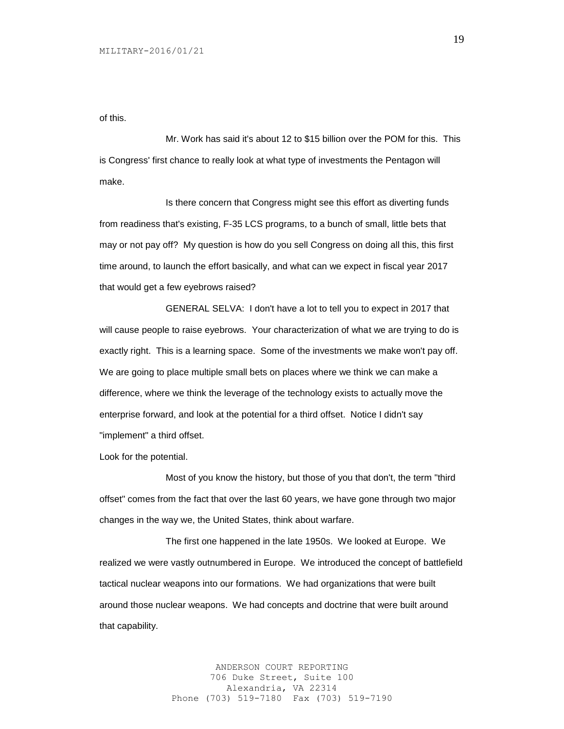of this.

Mr. Work has said it's about 12 to \$15 billion over the POM for this. This is Congress' first chance to really look at what type of investments the Pentagon will make.

Is there concern that Congress might see this effort as diverting funds from readiness that's existing, F-35 LCS programs, to a bunch of small, little bets that may or not pay off? My question is how do you sell Congress on doing all this, this first time around, to launch the effort basically, and what can we expect in fiscal year 2017 that would get a few eyebrows raised?

GENERAL SELVA: I don't have a lot to tell you to expect in 2017 that will cause people to raise eyebrows. Your characterization of what we are trying to do is exactly right. This is a learning space. Some of the investments we make won't pay off. We are going to place multiple small bets on places where we think we can make a difference, where we think the leverage of the technology exists to actually move the enterprise forward, and look at the potential for a third offset. Notice I didn't say "implement" a third offset.

Look for the potential.

Most of you know the history, but those of you that don't, the term "third offset" comes from the fact that over the last 60 years, we have gone through two major changes in the way we, the United States, think about warfare.

The first one happened in the late 1950s. We looked at Europe. We realized we were vastly outnumbered in Europe. We introduced the concept of battlefield tactical nuclear weapons into our formations. We had organizations that were built around those nuclear weapons. We had concepts and doctrine that were built around that capability.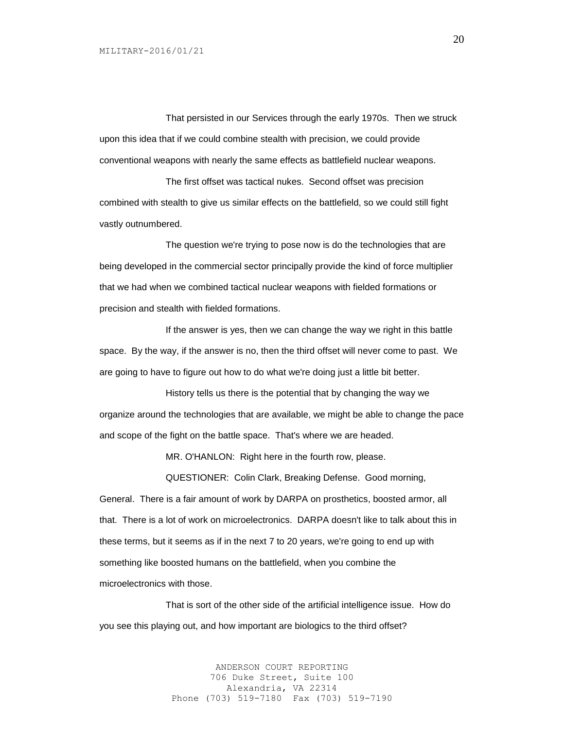That persisted in our Services through the early 1970s. Then we struck upon this idea that if we could combine stealth with precision, we could provide conventional weapons with nearly the same effects as battlefield nuclear weapons.

The first offset was tactical nukes. Second offset was precision combined with stealth to give us similar effects on the battlefield, so we could still fight vastly outnumbered.

The question we're trying to pose now is do the technologies that are being developed in the commercial sector principally provide the kind of force multiplier that we had when we combined tactical nuclear weapons with fielded formations or precision and stealth with fielded formations.

If the answer is yes, then we can change the way we right in this battle space. By the way, if the answer is no, then the third offset will never come to past. We are going to have to figure out how to do what we're doing just a little bit better.

History tells us there is the potential that by changing the way we organize around the technologies that are available, we might be able to change the pace and scope of the fight on the battle space. That's where we are headed.

MR. O'HANLON: Right here in the fourth row, please.

QUESTIONER: Colin Clark, Breaking Defense. Good morning,

General. There is a fair amount of work by DARPA on prosthetics, boosted armor, all that. There is a lot of work on microelectronics. DARPA doesn't like to talk about this in these terms, but it seems as if in the next 7 to 20 years, we're going to end up with something like boosted humans on the battlefield, when you combine the microelectronics with those.

That is sort of the other side of the artificial intelligence issue. How do you see this playing out, and how important are biologics to the third offset?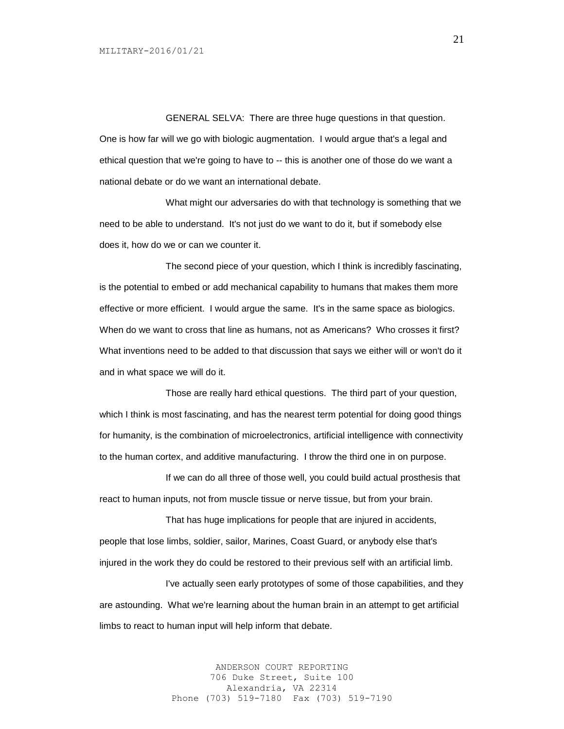GENERAL SELVA: There are three huge questions in that question. One is how far will we go with biologic augmentation. I would argue that's a legal and ethical question that we're going to have to -- this is another one of those do we want a national debate or do we want an international debate.

What might our adversaries do with that technology is something that we need to be able to understand. It's not just do we want to do it, but if somebody else does it, how do we or can we counter it.

The second piece of your question, which I think is incredibly fascinating, is the potential to embed or add mechanical capability to humans that makes them more effective or more efficient. I would argue the same. It's in the same space as biologics. When do we want to cross that line as humans, not as Americans? Who crosses it first? What inventions need to be added to that discussion that says we either will or won't do it and in what space we will do it.

Those are really hard ethical questions. The third part of your question, which I think is most fascinating, and has the nearest term potential for doing good things for humanity, is the combination of microelectronics, artificial intelligence with connectivity to the human cortex, and additive manufacturing. I throw the third one in on purpose.

If we can do all three of those well, you could build actual prosthesis that react to human inputs, not from muscle tissue or nerve tissue, but from your brain.

That has huge implications for people that are injured in accidents, people that lose limbs, soldier, sailor, Marines, Coast Guard, or anybody else that's injured in the work they do could be restored to their previous self with an artificial limb.

I've actually seen early prototypes of some of those capabilities, and they are astounding. What we're learning about the human brain in an attempt to get artificial limbs to react to human input will help inform that debate.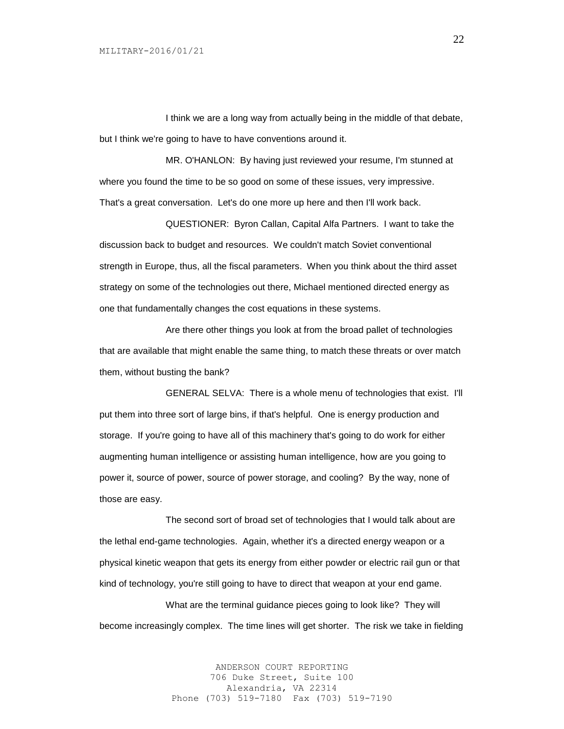I think we are a long way from actually being in the middle of that debate, but I think we're going to have to have conventions around it.

MR. O'HANLON: By having just reviewed your resume, I'm stunned at where you found the time to be so good on some of these issues, very impressive. That's a great conversation. Let's do one more up here and then I'll work back.

QUESTIONER: Byron Callan, Capital Alfa Partners. I want to take the discussion back to budget and resources. We couldn't match Soviet conventional strength in Europe, thus, all the fiscal parameters. When you think about the third asset strategy on some of the technologies out there, Michael mentioned directed energy as one that fundamentally changes the cost equations in these systems.

Are there other things you look at from the broad pallet of technologies that are available that might enable the same thing, to match these threats or over match them, without busting the bank?

GENERAL SELVA: There is a whole menu of technologies that exist. I'll put them into three sort of large bins, if that's helpful. One is energy production and storage. If you're going to have all of this machinery that's going to do work for either augmenting human intelligence or assisting human intelligence, how are you going to power it, source of power, source of power storage, and cooling? By the way, none of those are easy.

The second sort of broad set of technologies that I would talk about are the lethal end-game technologies. Again, whether it's a directed energy weapon or a physical kinetic weapon that gets its energy from either powder or electric rail gun or that kind of technology, you're still going to have to direct that weapon at your end game.

What are the terminal guidance pieces going to look like? They will become increasingly complex. The time lines will get shorter. The risk we take in fielding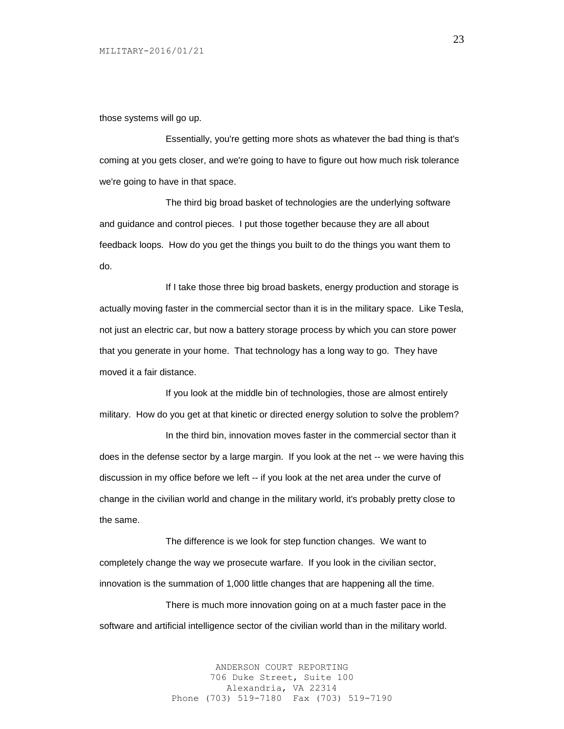those systems will go up.

Essentially, you're getting more shots as whatever the bad thing is that's coming at you gets closer, and we're going to have to figure out how much risk tolerance we're going to have in that space.

The third big broad basket of technologies are the underlying software and guidance and control pieces. I put those together because they are all about feedback loops. How do you get the things you built to do the things you want them to do.

If I take those three big broad baskets, energy production and storage is actually moving faster in the commercial sector than it is in the military space. Like Tesla, not just an electric car, but now a battery storage process by which you can store power that you generate in your home. That technology has a long way to go. They have moved it a fair distance.

If you look at the middle bin of technologies, those are almost entirely military. How do you get at that kinetic or directed energy solution to solve the problem?

In the third bin, innovation moves faster in the commercial sector than it does in the defense sector by a large margin. If you look at the net -- we were having this discussion in my office before we left -- if you look at the net area under the curve of change in the civilian world and change in the military world, it's probably pretty close to the same.

The difference is we look for step function changes. We want to completely change the way we prosecute warfare. If you look in the civilian sector, innovation is the summation of 1,000 little changes that are happening all the time.

There is much more innovation going on at a much faster pace in the software and artificial intelligence sector of the civilian world than in the military world.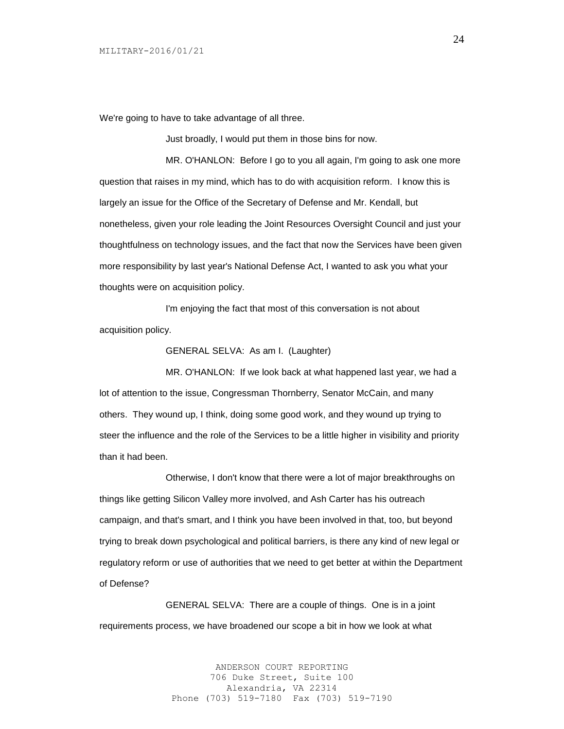We're going to have to take advantage of all three.

Just broadly, I would put them in those bins for now.

MR. O'HANLON: Before I go to you all again, I'm going to ask one more question that raises in my mind, which has to do with acquisition reform. I know this is largely an issue for the Office of the Secretary of Defense and Mr. Kendall, but nonetheless, given your role leading the Joint Resources Oversight Council and just your thoughtfulness on technology issues, and the fact that now the Services have been given more responsibility by last year's National Defense Act, I wanted to ask you what your thoughts were on acquisition policy.

I'm enjoying the fact that most of this conversation is not about acquisition policy.

GENERAL SELVA: As am I. (Laughter)

MR. O'HANLON: If we look back at what happened last year, we had a lot of attention to the issue, Congressman Thornberry, Senator McCain, and many others. They wound up, I think, doing some good work, and they wound up trying to steer the influence and the role of the Services to be a little higher in visibility and priority than it had been.

Otherwise, I don't know that there were a lot of major breakthroughs on things like getting Silicon Valley more involved, and Ash Carter has his outreach campaign, and that's smart, and I think you have been involved in that, too, but beyond trying to break down psychological and political barriers, is there any kind of new legal or regulatory reform or use of authorities that we need to get better at within the Department of Defense?

GENERAL SELVA: There are a couple of things. One is in a joint requirements process, we have broadened our scope a bit in how we look at what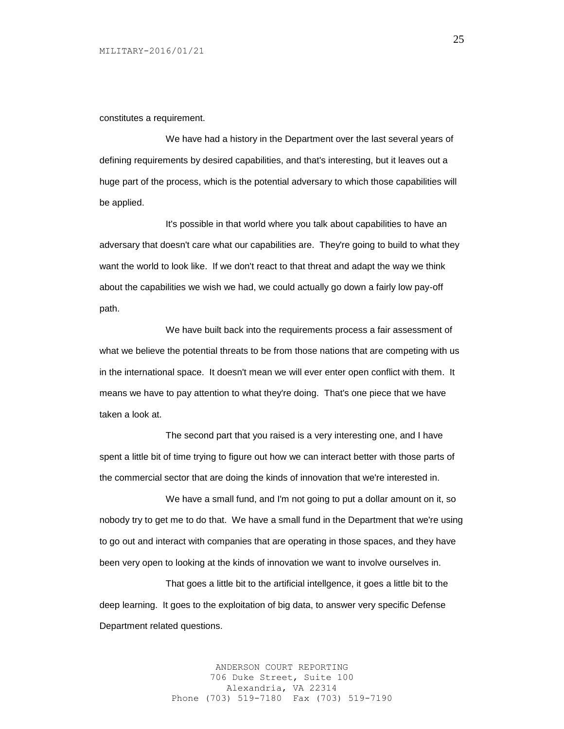constitutes a requirement.

We have had a history in the Department over the last several years of defining requirements by desired capabilities, and that's interesting, but it leaves out a huge part of the process, which is the potential adversary to which those capabilities will be applied.

It's possible in that world where you talk about capabilities to have an adversary that doesn't care what our capabilities are. They're going to build to what they want the world to look like. If we don't react to that threat and adapt the way we think about the capabilities we wish we had, we could actually go down a fairly low pay-off path.

We have built back into the requirements process a fair assessment of what we believe the potential threats to be from those nations that are competing with us in the international space. It doesn't mean we will ever enter open conflict with them. It means we have to pay attention to what they're doing. That's one piece that we have taken a look at.

The second part that you raised is a very interesting one, and I have spent a little bit of time trying to figure out how we can interact better with those parts of the commercial sector that are doing the kinds of innovation that we're interested in.

We have a small fund, and I'm not going to put a dollar amount on it, so nobody try to get me to do that. We have a small fund in the Department that we're using to go out and interact with companies that are operating in those spaces, and they have been very open to looking at the kinds of innovation we want to involve ourselves in.

That goes a little bit to the artificial intellgence, it goes a little bit to the deep learning. It goes to the exploitation of big data, to answer very specific Defense Department related questions.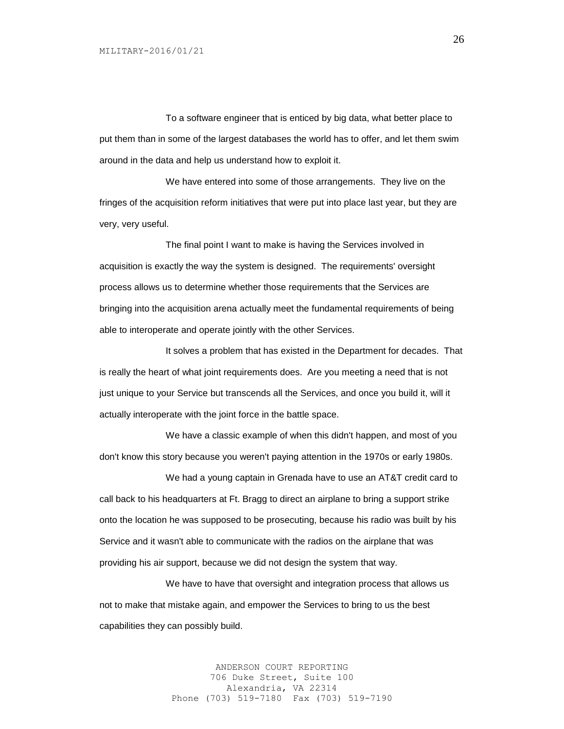To a software engineer that is enticed by big data, what better place to put them than in some of the largest databases the world has to offer, and let them swim around in the data and help us understand how to exploit it.

We have entered into some of those arrangements. They live on the fringes of the acquisition reform initiatives that were put into place last year, but they are very, very useful.

The final point I want to make is having the Services involved in acquisition is exactly the way the system is designed. The requirements' oversight process allows us to determine whether those requirements that the Services are bringing into the acquisition arena actually meet the fundamental requirements of being able to interoperate and operate jointly with the other Services.

It solves a problem that has existed in the Department for decades. That is really the heart of what joint requirements does. Are you meeting a need that is not just unique to your Service but transcends all the Services, and once you build it, will it actually interoperate with the joint force in the battle space.

We have a classic example of when this didn't happen, and most of you don't know this story because you weren't paying attention in the 1970s or early 1980s.

We had a young captain in Grenada have to use an AT&T credit card to call back to his headquarters at Ft. Bragg to direct an airplane to bring a support strike onto the location he was supposed to be prosecuting, because his radio was built by his Service and it wasn't able to communicate with the radios on the airplane that was providing his air support, because we did not design the system that way.

We have to have that oversight and integration process that allows us not to make that mistake again, and empower the Services to bring to us the best capabilities they can possibly build.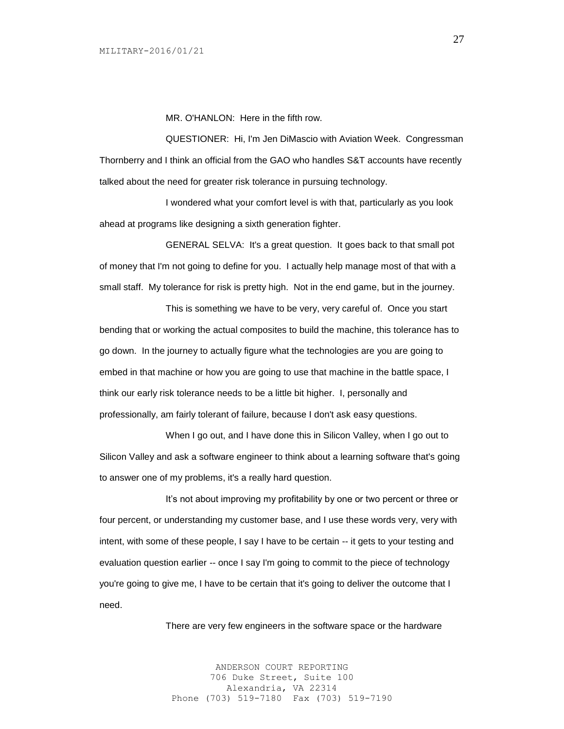MR. O'HANLON: Here in the fifth row.

QUESTIONER: Hi, I'm Jen DiMascio with Aviation Week. Congressman Thornberry and I think an official from the GAO who handles S&T accounts have recently talked about the need for greater risk tolerance in pursuing technology.

I wondered what your comfort level is with that, particularly as you look ahead at programs like designing a sixth generation fighter.

GENERAL SELVA: It's a great question. It goes back to that small pot of money that I'm not going to define for you. I actually help manage most of that with a small staff. My tolerance for risk is pretty high. Not in the end game, but in the journey.

This is something we have to be very, very careful of. Once you start bending that or working the actual composites to build the machine, this tolerance has to go down. In the journey to actually figure what the technologies are you are going to embed in that machine or how you are going to use that machine in the battle space, I think our early risk tolerance needs to be a little bit higher. I, personally and professionally, am fairly tolerant of failure, because I don't ask easy questions.

When I go out, and I have done this in Silicon Valley, when I go out to Silicon Valley and ask a software engineer to think about a learning software that's going to answer one of my problems, it's a really hard question.

It's not about improving my profitability by one or two percent or three or four percent, or understanding my customer base, and I use these words very, very with intent, with some of these people, I say I have to be certain -- it gets to your testing and evaluation question earlier -- once I say I'm going to commit to the piece of technology you're going to give me, I have to be certain that it's going to deliver the outcome that I need.

There are very few engineers in the software space or the hardware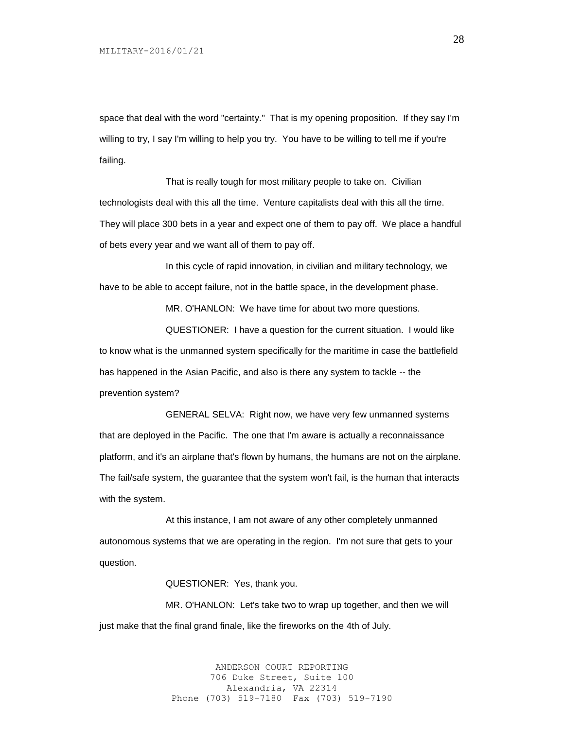space that deal with the word "certainty." That is my opening proposition. If they say I'm willing to try, I say I'm willing to help you try. You have to be willing to tell me if you're failing.

That is really tough for most military people to take on. Civilian technologists deal with this all the time. Venture capitalists deal with this all the time. They will place 300 bets in a year and expect one of them to pay off. We place a handful of bets every year and we want all of them to pay off.

In this cycle of rapid innovation, in civilian and military technology, we have to be able to accept failure, not in the battle space, in the development phase.

MR. O'HANLON: We have time for about two more questions.

QUESTIONER: I have a question for the current situation. I would like to know what is the unmanned system specifically for the maritime in case the battlefield has happened in the Asian Pacific, and also is there any system to tackle -- the prevention system?

GENERAL SELVA: Right now, we have very few unmanned systems that are deployed in the Pacific. The one that I'm aware is actually a reconnaissance platform, and it's an airplane that's flown by humans, the humans are not on the airplane. The fail/safe system, the guarantee that the system won't fail, is the human that interacts with the system.

At this instance, I am not aware of any other completely unmanned autonomous systems that we are operating in the region. I'm not sure that gets to your question.

QUESTIONER: Yes, thank you.

MR. O'HANLON: Let's take two to wrap up together, and then we will just make that the final grand finale, like the fireworks on the 4th of July.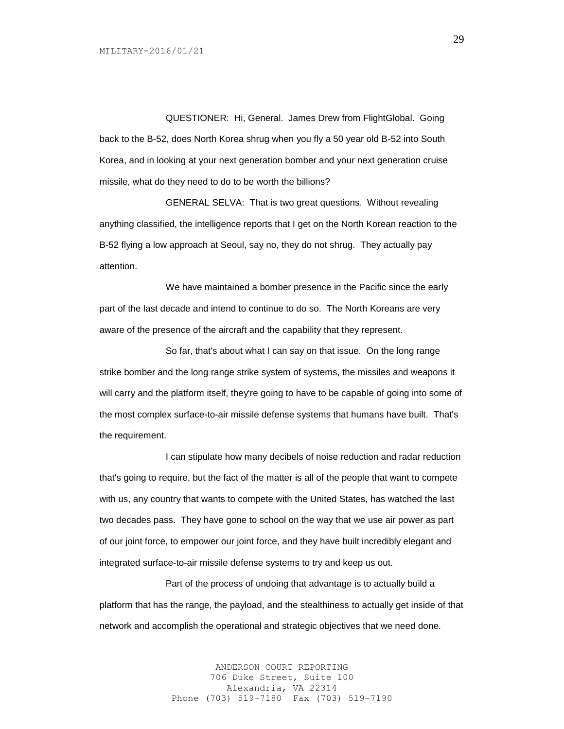QUESTIONER: Hi, General. James Drew from FlightGlobal. Going back to the B-52, does North Korea shrug when you fly a 50 year old B-52 into South Korea, and in looking at your next generation bomber and your next generation cruise missile, what do they need to do to be worth the billions?

GENERAL SELVA: That is two great questions. Without revealing anything classified, the intelligence reports that I get on the North Korean reaction to the B-52 flying a low approach at Seoul, say no, they do not shrug. They actually pay attention.

We have maintained a bomber presence in the Pacific since the early part of the last decade and intend to continue to do so. The North Koreans are very aware of the presence of the aircraft and the capability that they represent.

So far, that's about what I can say on that issue. On the long range strike bomber and the long range strike system of systems, the missiles and weapons it will carry and the platform itself, they're going to have to be capable of going into some of the most complex surface-to-air missile defense systems that humans have built. That's the requirement.

I can stipulate how many decibels of noise reduction and radar reduction that's going to require, but the fact of the matter is all of the people that want to compete with us, any country that wants to compete with the United States, has watched the last two decades pass. They have gone to school on the way that we use air power as part of our joint force, to empower our joint force, and they have built incredibly elegant and integrated surface-to-air missile defense systems to try and keep us out.

Part of the process of undoing that advantage is to actually build a platform that has the range, the payload, and the stealthiness to actually get inside of that network and accomplish the operational and strategic objectives that we need done.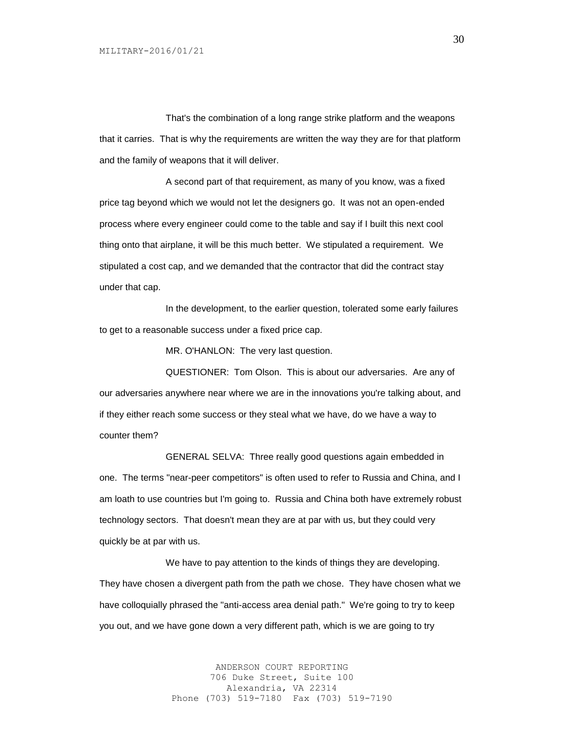That's the combination of a long range strike platform and the weapons that it carries. That is why the requirements are written the way they are for that platform and the family of weapons that it will deliver.

A second part of that requirement, as many of you know, was a fixed price tag beyond which we would not let the designers go. It was not an open-ended process where every engineer could come to the table and say if I built this next cool thing onto that airplane, it will be this much better. We stipulated a requirement. We stipulated a cost cap, and we demanded that the contractor that did the contract stay under that cap.

In the development, to the earlier question, tolerated some early failures to get to a reasonable success under a fixed price cap.

MR. O'HANLON: The very last question.

QUESTIONER: Tom Olson. This is about our adversaries. Are any of our adversaries anywhere near where we are in the innovations you're talking about, and if they either reach some success or they steal what we have, do we have a way to counter them?

GENERAL SELVA: Three really good questions again embedded in one. The terms "near-peer competitors" is often used to refer to Russia and China, and I am loath to use countries but I'm going to. Russia and China both have extremely robust technology sectors. That doesn't mean they are at par with us, but they could very quickly be at par with us.

We have to pay attention to the kinds of things they are developing. They have chosen a divergent path from the path we chose. They have chosen what we have colloquially phrased the "anti-access area denial path." We're going to try to keep you out, and we have gone down a very different path, which is we are going to try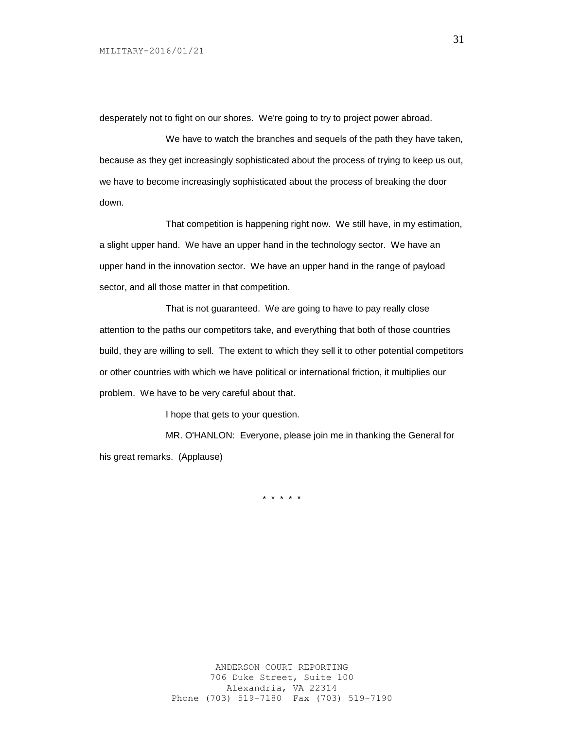desperately not to fight on our shores. We're going to try to project power abroad.

We have to watch the branches and sequels of the path they have taken, because as they get increasingly sophisticated about the process of trying to keep us out, we have to become increasingly sophisticated about the process of breaking the door down.

That competition is happening right now. We still have, in my estimation, a slight upper hand. We have an upper hand in the technology sector. We have an upper hand in the innovation sector. We have an upper hand in the range of payload sector, and all those matter in that competition.

That is not guaranteed. We are going to have to pay really close attention to the paths our competitors take, and everything that both of those countries build, they are willing to sell. The extent to which they sell it to other potential competitors or other countries with which we have political or international friction, it multiplies our problem. We have to be very careful about that.

I hope that gets to your question.

MR. O'HANLON: Everyone, please join me in thanking the General for his great remarks. (Applause)

\* \* \* \* \*